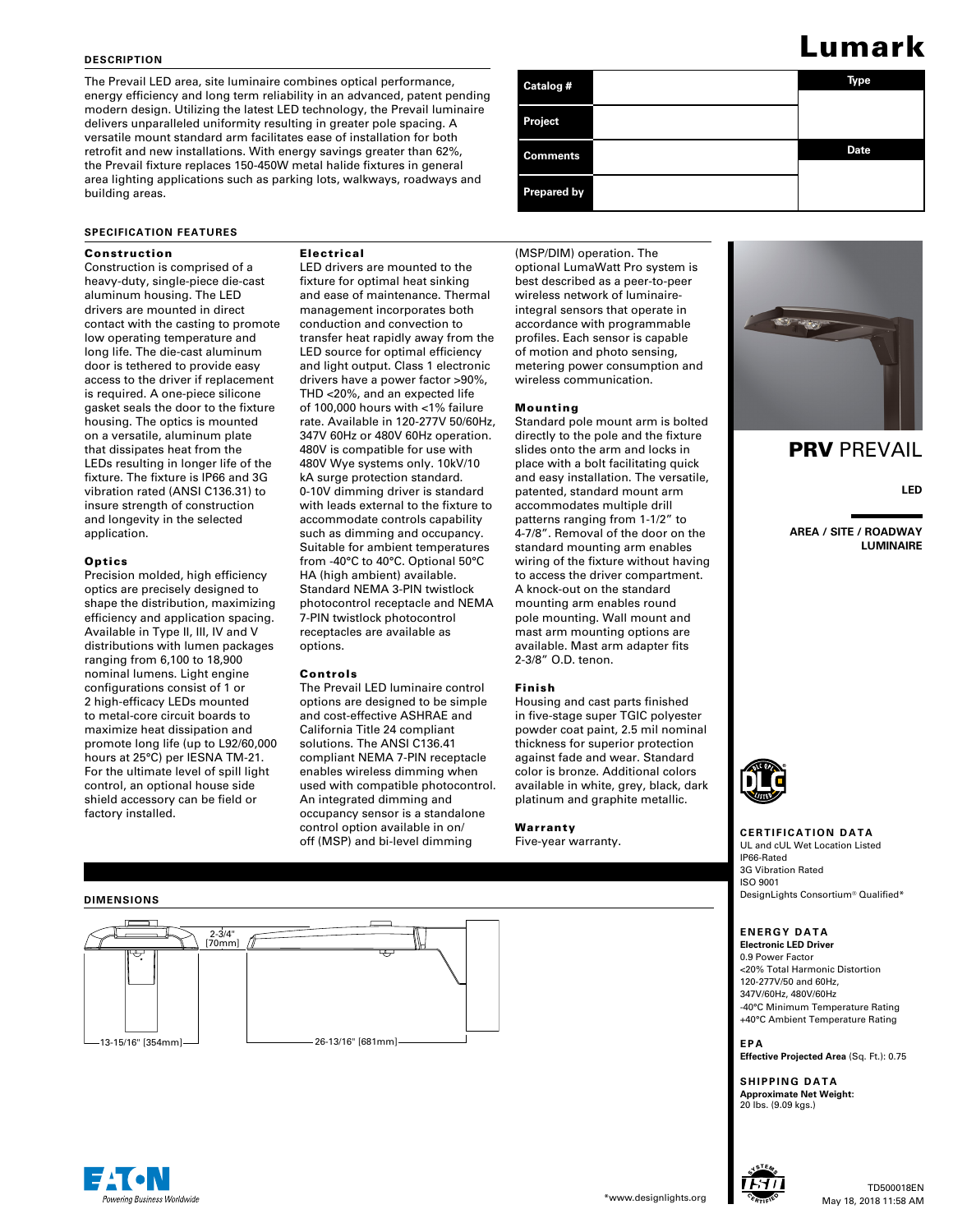## **DESCRIPTION**

The Prevail LED area, site luminaire combines optical performance, energy efficiency and long term reliability in an advanced, patent pending modern design. Utilizing the latest LED technology, the Prevail luminaire delivers unparalleled uniformity resulting in greater pole spacing. A versatile mount standard arm facilitates ease of installation for both retrofit and new installations. With energy savings greater than 62%, the Prevail fixture replaces 150-450W metal halide fixtures in general area lighting applications such as parking lots, walkways, roadways and building areas.

#### **SPECIFICATION FEATURES**

# Construction

Construction is comprised of a heavy-duty, single-piece die-cast aluminum housing. The LED drivers are mounted in direct contact with the casting to promote low operating temperature and long life. The die-cast aluminum door is tethered to provide easy access to the driver if replacement is required. A one-piece silicone gasket seals the door to the fixture housing. The optics is mounted on a versatile, aluminum plate that dissipates heat from the LEDs resulting in longer life of the fixture. The fixture is IP66 and 3G vibration rated (ANSI C136.31) to insure strength of construction and longevity in the selected application.

#### **Optics**

Precision molded, high efficiency optics are precisely designed to shape the distribution, maximizing efficiency and application spacing. Available in Type II, III, IV and V distributions with lumen packages ranging from 6,100 to 18,900 nominal lumens. Light engine configurations consist of 1 or 2 high-efficacy LEDs mounted to metal-core circuit boards to maximize heat dissipation and promote long life (up to L92/60,000 hours at 25°C) per IESNA TM-21. For the ultimate level of spill light control, an optional house side shield accessory can be field or factory installed.

# Electrical

LED drivers are mounted to the fixture for optimal heat sinking and ease of maintenance. Thermal management incorporates both conduction and convection to transfer heat rapidly away from the LED source for optimal efficiency and light output. Class 1 electronic drivers have a power factor >90%, THD <20%, and an expected life of 100,000 hours with <1% failure rate. Available in 120-277V 50/60Hz, 347V 60Hz or 480V 60Hz operation. 480V is compatible for use with 480V Wye systems only. 10kV/10 kA surge protection standard. 0-10V dimming driver is standard with leads external to the fixture to accommodate controls capability such as dimming and occupancy. Suitable for ambient temperatures from -40°C to 40°C. Optional 50°C HA (high ambient) available. Standard NEMA 3-PIN twistlock photocontrol receptacle and NEMA 7-PIN twistlock photocontrol receptacles are available as options.

#### Controls

The Prevail LED luminaire control options are designed to be simple and cost-effective ASHRAE and California Title 24 compliant solutions. The ANSI C136.41 compliant NEMA 7-PIN receptacle enables wireless dimming when used with compatible photocontrol. An integrated dimming and occupancy sensor is a standalone control option available in on/ off (MSP) and bi-level dimming

# **Catalog # Type Date Project Comments Prepared by**

(MSP/DIM) operation. The optional LumaWatt Pro system is best described as a peer-to-peer wireless network of luminaireintegral sensors that operate in accordance with programmable profiles. Each sensor is capable of motion and photo sensing, metering power consumption and wireless communication.

# Mounting

Standard pole mount arm is bolted directly to the pole and the fixture slides onto the arm and locks in place with a bolt facilitating quick and easy installation. The versatile, patented, standard mount arm accommodates multiple drill patterns ranging from 1-1/2" to 4-7/8". Removal of the door on the standard mounting arm enables wiring of the fixture without having to access the driver compartment. A knock-out on the standard mounting arm enables round pole mounting. Wall mount and mast arm mounting options are available. Mast arm adapter fits 2-3/8" O.D. tenon.

#### Finish

Housing and cast parts finished in five-stage super TGIC polyester powder coat paint, 2.5 mil nominal thickness for superior protection against fade and wear. Standard color is bronze. Additional colors available in white, grey, black, dark platinum and graphite metallic.

#### Warranty

Five-year warranty.



# **PRV PREVAIL**

Lumark

**LED**

**AREA / SITE / ROADWAY LUMINAIRE**



# **CERTIFICATION DATA**

UL and cUL Wet Location Listed IP66-Rated 3G Vibration Rated ISO 9001 DesignLights Consortium® Qualified\*

# **ENERGY DATA**

**Electronic LED Driver** 0.9 Power Factor <20% Total Harmonic Distortion 120-277V/50 and 60Hz, 347V/60Hz, 480V/60Hz -40°C Minimum Temperature Rating +40°C Ambient Temperature Rating

**EPA Effective Projected Area** (Sq. Ft.): 0.75

**SHIPPING DATA Approximate Net Weight:**<br>20 lbs. (9.09 kgs.)







**DIMENSIONS**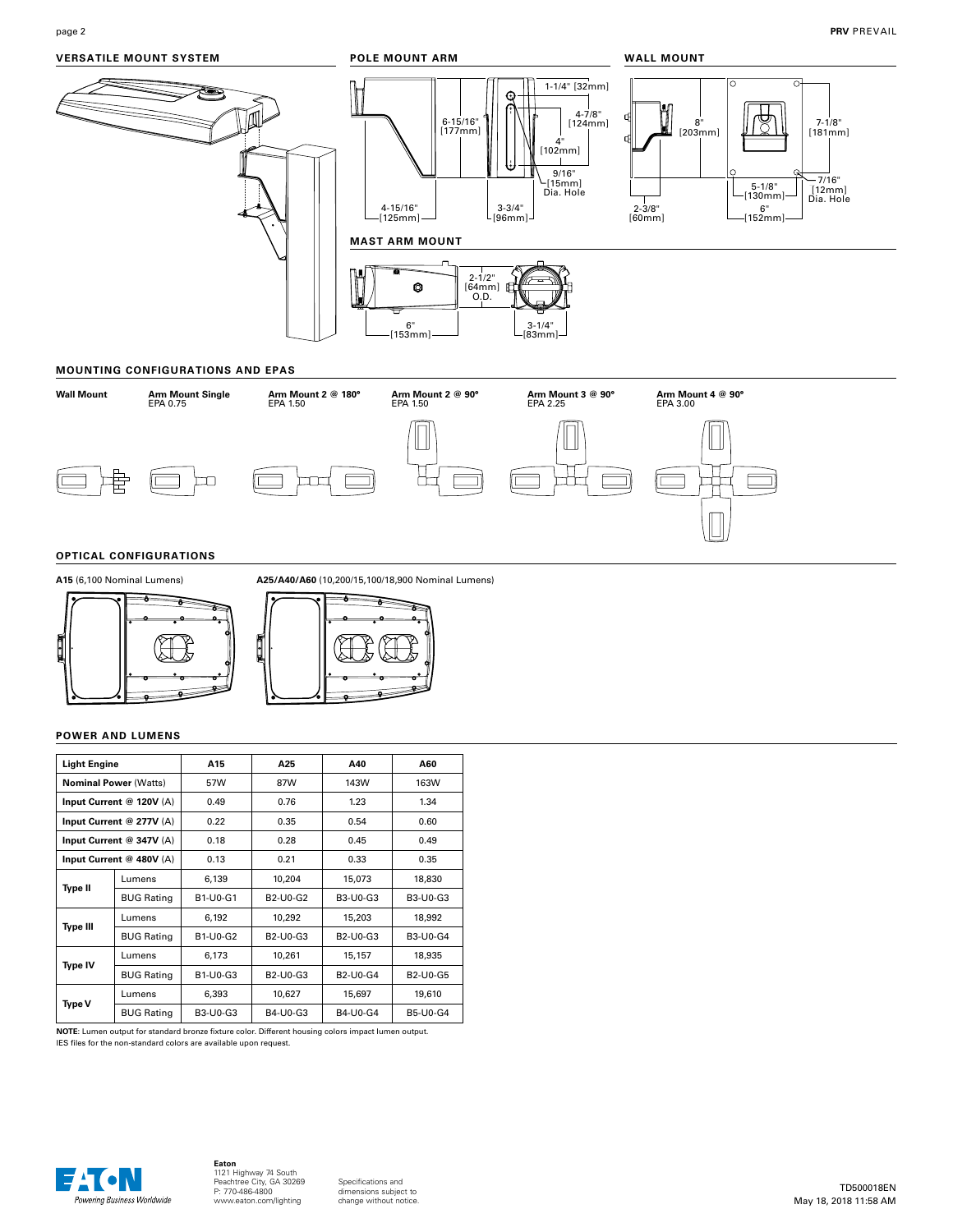# **VERSATILE MOUNT SYSTEM**



### **MOUNTING CONFIGURATIONS AND EPAS**



# **OPTICAL CONFIGURATIONS**





#### **POWER AND LUMENS**

| <b>Light Engine</b>          |                   | A15      | A25                                            | A40                                            | A60                                            |
|------------------------------|-------------------|----------|------------------------------------------------|------------------------------------------------|------------------------------------------------|
| <b>Nominal Power (Watts)</b> |                   | 57W      | 87W                                            | 143W                                           | 163W                                           |
| Input Current @ 120V (A)     |                   | 0.49     | 0.76                                           | 1.23                                           | 1.34                                           |
| Input Current @ 277V (A)     |                   | 0.22     | 0.35                                           | 0.54                                           | 0.60                                           |
| Input Current @ 347V (A)     |                   | 0.18     | 0.28                                           | 0.45                                           | 0.49                                           |
| Input Current @ 480V (A)     |                   | 0.13     | 0.21                                           | 0.33                                           | 0.35                                           |
|                              | Lumens            | 6,139    | 10,204                                         | 15,073                                         | 18,830                                         |
| <b>Type II</b>               | <b>BUG Rating</b> | B1-U0-G1 | B <sub>2</sub> -U <sub>0</sub> -G <sub>2</sub> | B3-U0-G3                                       | B3-U0-G3                                       |
| Type III                     | Lumens            | 6,192    | 10,292                                         | 15,203                                         | 18,992                                         |
|                              | <b>BUG Rating</b> | B1-U0-G2 | B2-U0-G3                                       | B <sub>2</sub> -U <sub>0</sub> -G <sub>3</sub> | B3-U0-G4                                       |
| Type IV                      | Lumens            | 6,173    | 10,261                                         | 15,157                                         | 18,935                                         |
|                              | <b>BUG Rating</b> | B1-U0-G3 | B2-U0-G3                                       | B <sub>2</sub> -U <sub>0</sub> -G <sub>4</sub> | B <sub>2</sub> -U <sub>0</sub> -G <sub>5</sub> |
| Type V                       | Lumens            | 6,393    | 10,627                                         | 15,697                                         | 19,610                                         |
|                              | <b>BUG Rating</b> | B3-U0-G3 | B4-U0-G3                                       | B4-U0-G4                                       | <b>B5-U0-G4</b>                                |

**NOTE**: Lumen output for standard bronze fixture color. Different housing colors impact lumen output. IES files for the non-standard colors are available upon request.



# **Eaton**<br>1121 Highway 74 South<br>Peachtree City, GA 30269<br>P: 770-486-4800 www.eaton.com/lighting

Specifications and dimensions subject to change without notice.